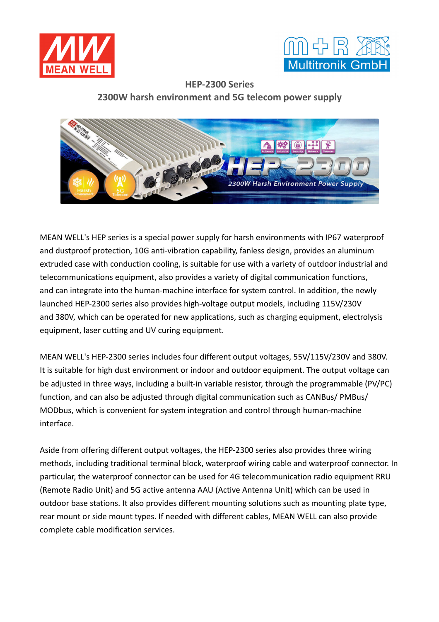



**HEP-2300 Series 2300W harsh environment and 5G telecom power supply**



MEAN WELL's HEP series is a special power supply for harsh environments with IP67 waterproof and dustproof protection, 10G anti-vibration capability, fanless design, provides an aluminum extruded case with conduction cooling, is suitable for use with a variety of outdoor industrial and telecommunications equipment, also provides a variety of digital communication functions, and can integrate into the human-machine interface for system control. In addition, the newly launched HEP-2300 series also provides high-voltage output models, including 115V/230V and 380V, which can be operated for new applications, such as charging equipment, electrolysis equipment, laser cutting and UV curing equipment.

MEAN WELL's HEP-2300 series includes four different output voltages, 55V/115V/230V and 380V. It is suitable for high dust environment or indoor and outdoor equipment. The output voltage can be adjusted in three ways, including a built-in variable resistor, through the programmable (PV/PC) function, and can also be adjusted through digital communication such as CANBus/ PMBus/ MODbus, which is convenient for system integration and control through human-machine interface.

Aside from offering different output voltages, the HEP-2300 series also provides three wiring methods, including traditional terminal block, waterproof wiring cable and waterproof connector. In particular, the waterproof connector can be used for 4G telecommunication radio equipment RRU (Remote Radio Unit) and 5G active antenna AAU (Active Antenna Unit) which can be used in outdoor base stations. It also provides different mounting solutions such as mounting plate type, rear mount or side mount types. If needed with different cables, MEAN WELL can also provide complete cable modification services.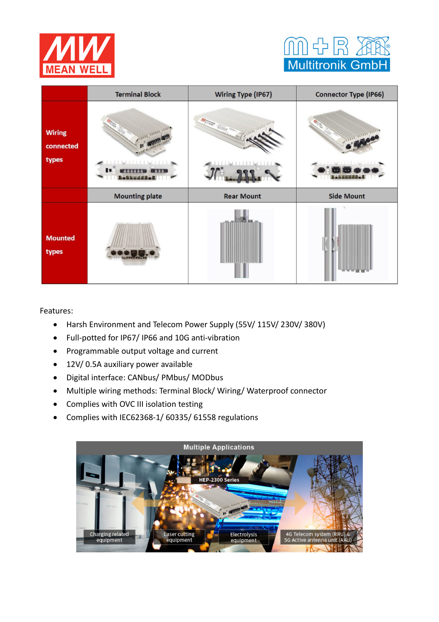



|                                     | <b>Terminal Block</b>                                                                                                                                                                                                                              | <b>Wiring Type (IP67)</b> | <b>Connector Type (IP66)</b> |
|-------------------------------------|----------------------------------------------------------------------------------------------------------------------------------------------------------------------------------------------------------------------------------------------------|---------------------------|------------------------------|
| <b>Wiring</b><br>connected<br>types | 通道書の<br><b><u>In the set of the set of the set of the set of the set of the set of the set of the set of the set of the set of the set of the set of the set of the set of the set of the set of the set of the set of the set of the set </u></b> |                           |                              |
|                                     | <b>Mounting plate</b>                                                                                                                                                                                                                              | <b>Rear Mount</b>         | <b>Side Mount</b>            |
| <b>Mounted</b><br>types             |                                                                                                                                                                                                                                                    |                           |                              |

Features:

- Harsh Environment and Telecom Power Supply (55V/ 115V/ 230V/ 380V)
- Full-potted for IP67/ IP66 and 10G anti-vibration
- Programmable output voltage and current
- 12V/ 0.5A auxiliary power available
- Digital interface: CANbus/ PMbus/ MODbus
- Multiple wiring methods: Terminal Block/ Wiring/ Waterproof connector
- Complies with OVC III isolation testing
- Complies with IEC62368-1/ 60335/ 61558 regulations